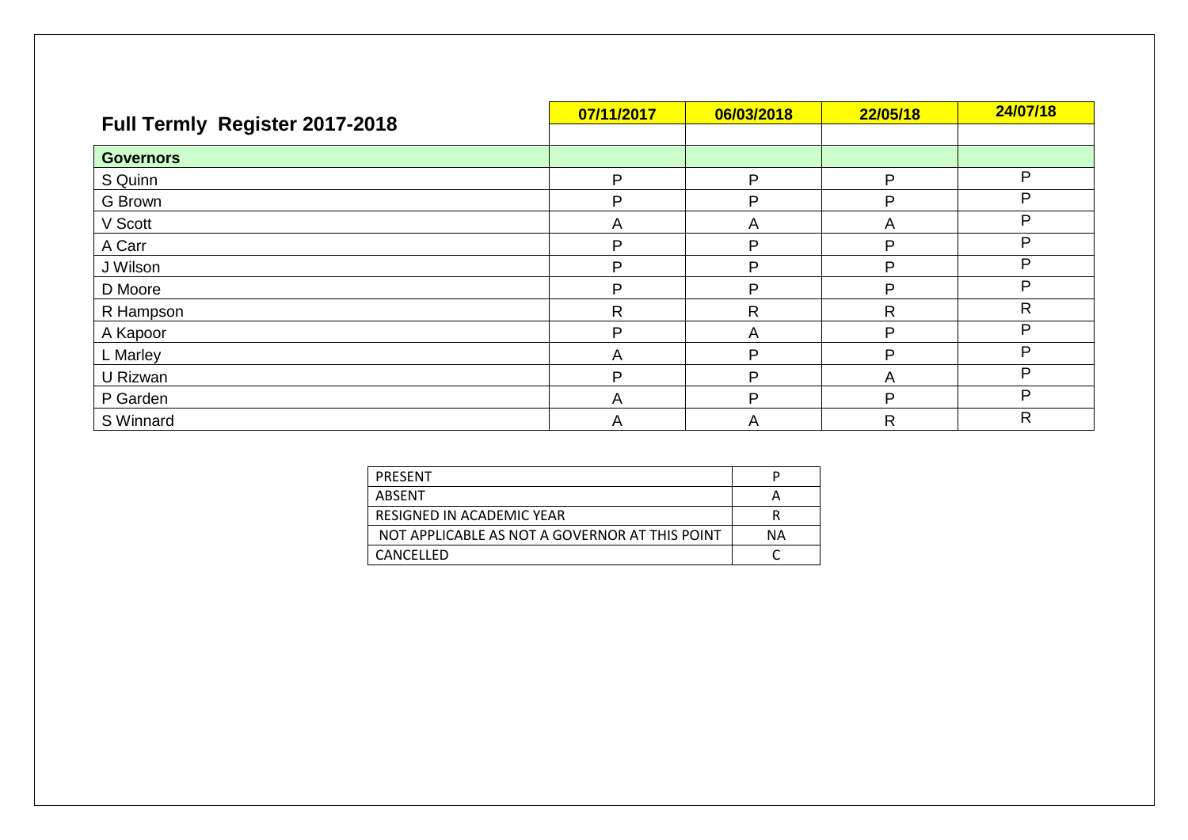| Full Termly Register 2017-2018 | 07/11/2017 | 06/03/2018   | 22/05/18     | 24/07/18 |
|--------------------------------|------------|--------------|--------------|----------|
|                                |            |              |              |          |
| <b>Governors</b>               |            |              |              |          |
| S Quinn                        | P          | D            | P            | P        |
| G Brown                        | P          | P            | P            | P        |
| V Scott                        | A          | А            | A            | P        |
| A Carr                         | P          | P            | P            | P        |
| J Wilson                       | P          | D            | P            | P        |
| D Moore                        | P          | Þ            | P            | P        |
| R Hampson                      | R          | $\mathsf{R}$ | $\mathsf{R}$ | R        |
| A Kapoor                       | P          | Α            | P            | P        |
| L Marley                       | A          | D            | Þ            | P        |
| U Rizwan                       | P          | P            | A            | P        |
| P Garden                       | A          | D            | P            | P        |
| S Winnard                      | A          | A            | $\mathsf{R}$ | R        |

| PRESENT                                        |    |
|------------------------------------------------|----|
| ABSENT                                         |    |
| RESIGNED IN ACADEMIC YEAR                      |    |
| NOT APPLICABLE AS NOT A GOVERNOR AT THIS POINT | ΝA |
| CANCELLED                                      |    |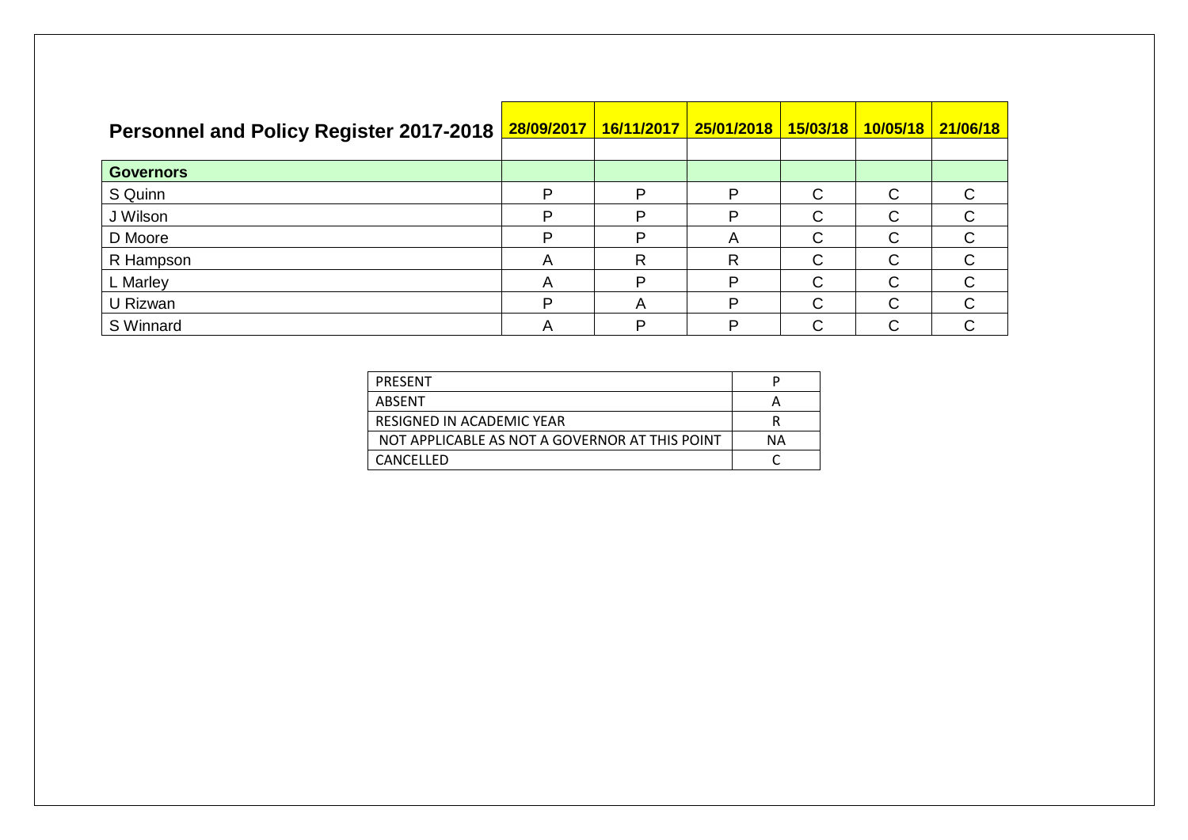| <b>Personnel and Policy Register 2017-2018</b> |   |   | 28/09/2017   16/11/2017   25/01/2018 |   | <mark>15/03/18   10/05/18   21/06/18</mark> |   |
|------------------------------------------------|---|---|--------------------------------------|---|---------------------------------------------|---|
| <b>Governors</b>                               |   |   |                                      |   |                                             |   |
| S Quinn                                        | D | P | Þ                                    | C | С                                           |   |
| J Wilson                                       | D | P | P                                    | C | С                                           |   |
| D Moore                                        | D | D | $\overline{\mathsf{A}}$              | C | C                                           | C |
| R Hampson                                      | A | R | R                                    | C | C                                           |   |
| L Marley                                       | A | D | P                                    | C | С                                           |   |
| U Rizwan                                       | D | Α | P                                    | C | С                                           |   |
| S Winnard                                      | A | D | D                                    | ◠ | ◠                                           |   |

| PRESENT                                        |    |
|------------------------------------------------|----|
| ABSFNT                                         |    |
| RESIGNED IN ACADEMIC YEAR                      |    |
| NOT APPLICABLE AS NOT A GOVERNOR AT THIS POINT | ΝA |
| <b>CANCFLLFD</b>                               |    |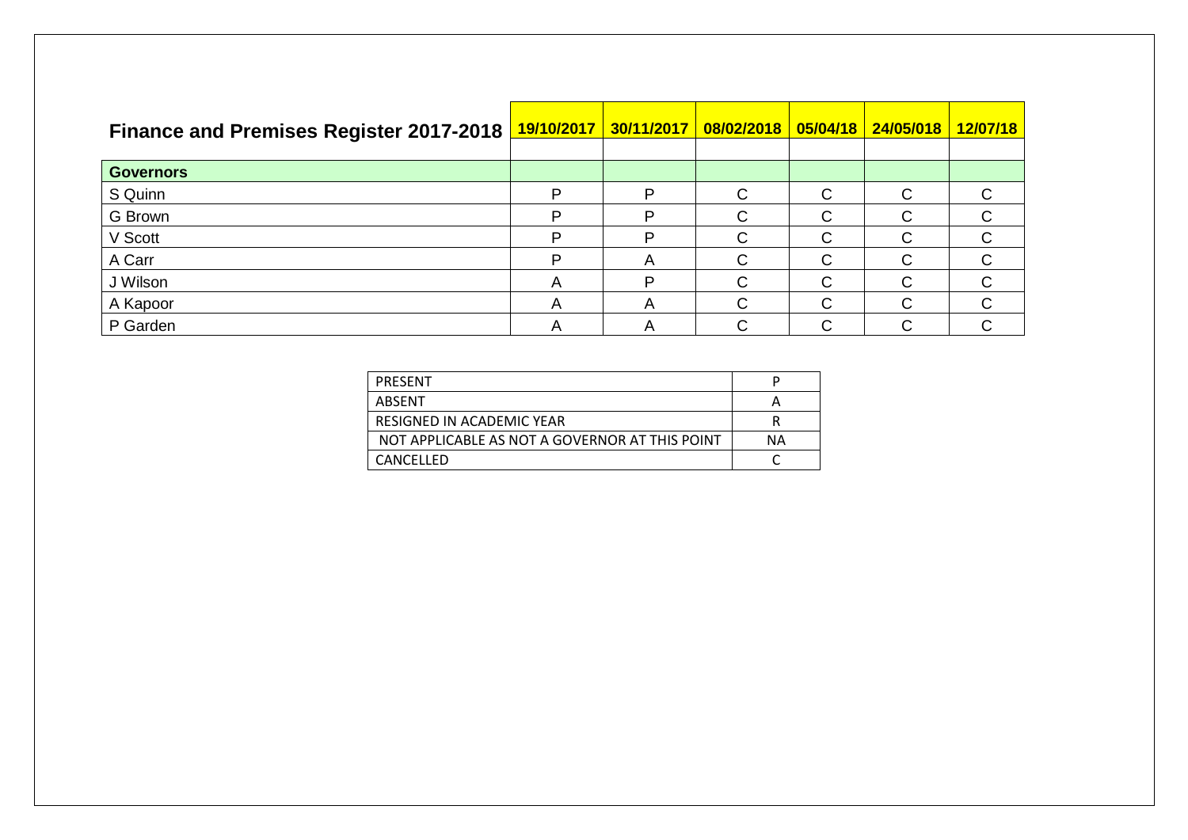| <b>Finance and Premises Register 2017-2018</b> |                           | 19/10/2017 30/11/2017 |   |   |        | 12/07/18 |
|------------------------------------------------|---------------------------|-----------------------|---|---|--------|----------|
| <b>Governors</b>                               |                           |                       |   |   |        |          |
| S Quinn                                        | ם                         | D                     | ⌒ | ⌒ | $\cap$ |          |
| G Brown                                        | ם                         | P                     |   |   | C      |          |
| V Scott                                        | ם                         | D                     | ⌒ | ⌒ | C      |          |
| A Carr                                         | D                         | A                     |   |   | C      |          |
| J Wilson                                       | $\boldsymbol{\mathsf{A}}$ | D                     |   | ⌒ | $\cap$ |          |
| A Kapoor                                       | $\boldsymbol{\mathsf{A}}$ | A                     |   | ⌒ | C      |          |
| P Garden                                       |                           | A                     | ⌒ |   | ⌒      |          |

| PRESENT                                        |    |
|------------------------------------------------|----|
| ABSENT                                         |    |
| RESIGNED IN ACADEMIC YEAR                      |    |
| NOT APPLICABLE AS NOT A GOVERNOR AT THIS POINT | ΝA |
| <b>CANCFLLFD</b>                               |    |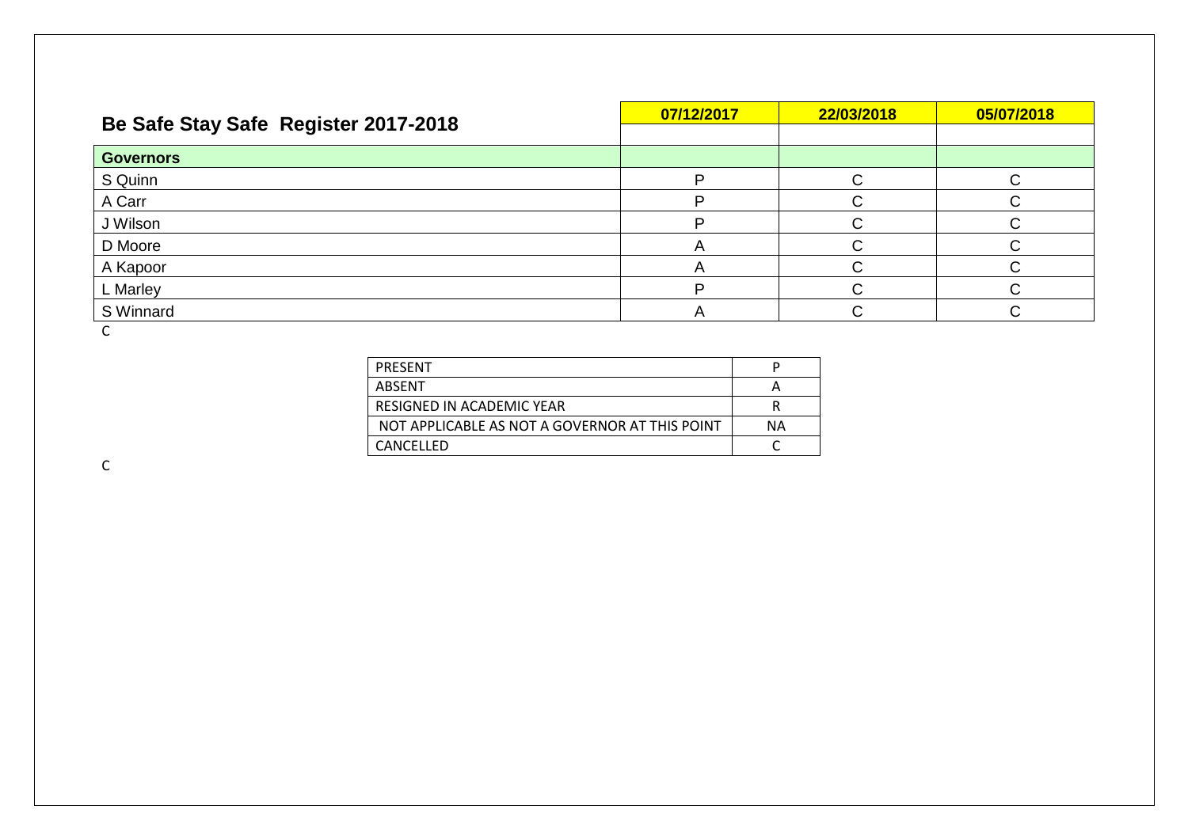| Be Safe Stay Safe Register 2017-2018 | 07/12/2017 | 22/03/2018 | 05/07/2018 |
|--------------------------------------|------------|------------|------------|
|                                      |            |            |            |
| <b>Governors</b>                     |            |            |            |
| S Quinn                              |            |            |            |
| A Carr                               |            |            |            |
| J Wilson                             |            |            |            |
| D Moore                              |            |            |            |
| A Kapoor                             |            |            |            |
| L Marley                             |            |            |            |
| S Winnard                            |            |            |            |

C

| PRESENT                                        |    |
|------------------------------------------------|----|
| ABSENT                                         |    |
| RESIGNED IN ACADEMIC YEAR                      |    |
| NOT APPLICABLE AS NOT A GOVERNOR AT THIS POINT | ΝA |
| CANCFLLFD                                      |    |

C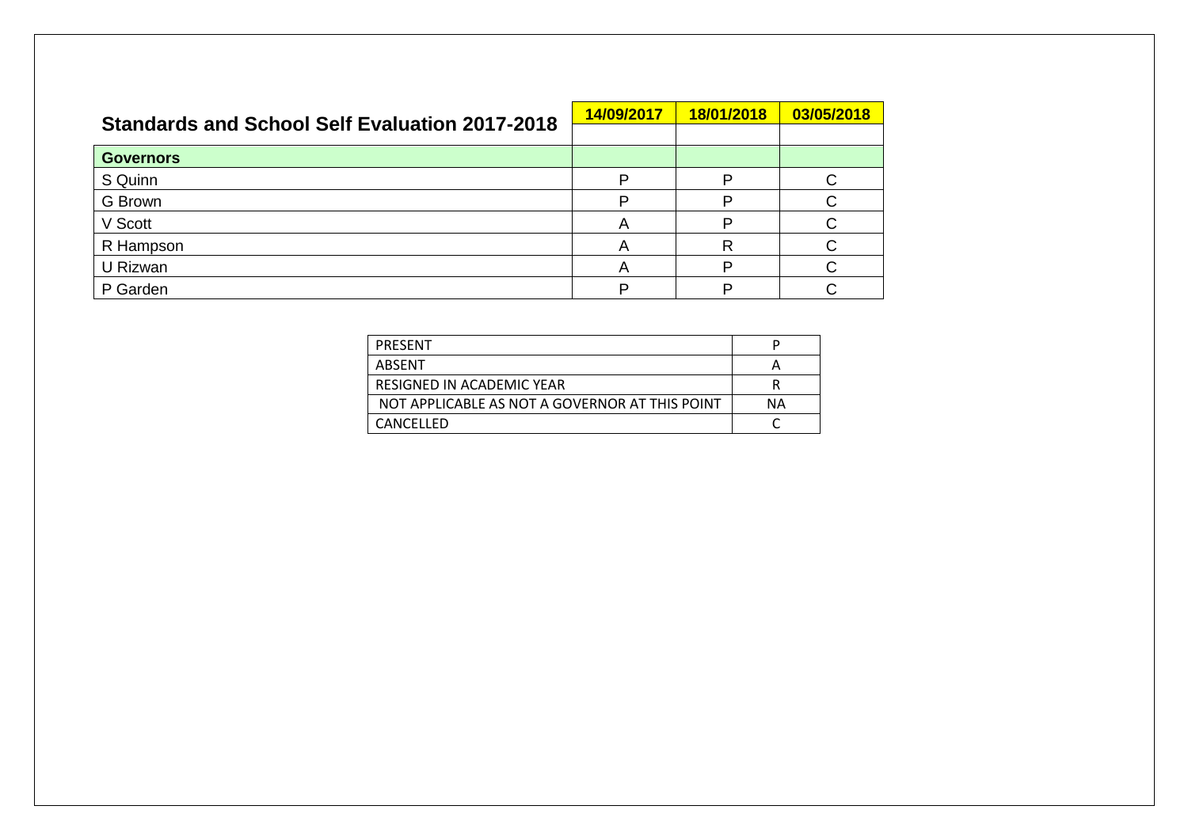| <b>Standards and School Self Evaluation 2017-2018</b> | 14/09/2017 | 18/01/2018 | 03/05/2018 |
|-------------------------------------------------------|------------|------------|------------|
|                                                       |            |            |            |
| <b>Governors</b>                                      |            |            |            |
| S Quinn                                               |            | D          |            |
| G Brown                                               | D          | D          |            |
| V Scott                                               | A          | ח          | C          |
| R Hampson                                             | A          |            |            |
| U Rizwan                                              | A          |            |            |
| P Garden                                              |            |            |            |

| PRESENT                                        |    |
|------------------------------------------------|----|
| ABSENT                                         |    |
| RESIGNED IN ACADEMIC YEAR                      |    |
| NOT APPLICABLE AS NOT A GOVERNOR AT THIS POINT | NΑ |
| <b>CANCFLLFD</b>                               |    |